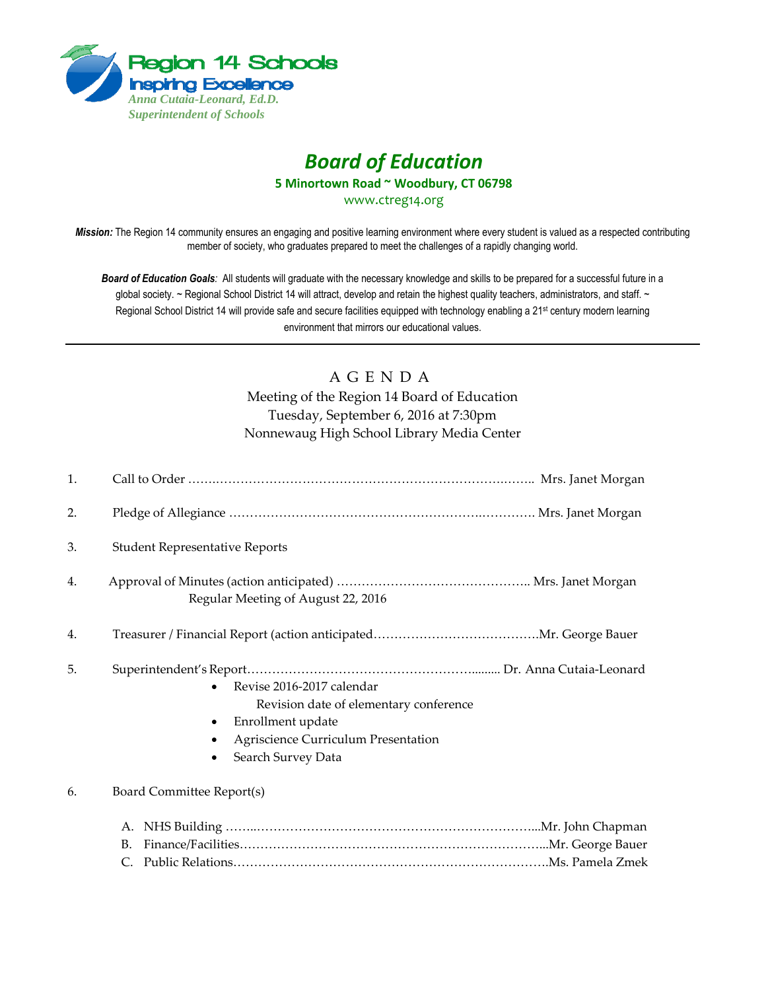

# *Board of Education*

**5 Minortown Road ~ Woodbury, CT 06798**

[www.ctreg14.org](http://www.ctreg14.org/)

*Mission:* The Region 14 community ensures an engaging and positive learning environment where every student is valued as a respected contributing member of society, who graduates prepared to meet the challenges of a rapidly changing world.

*Board of Education Goals:* All students will graduate with the necessary knowledge and skills to be prepared for a successful future in a global society. ~ Regional School District 14 will attract, develop and retain the highest quality teachers, administrators, and staff. ~ Regional School District 14 will provide safe and secure facilities equipped with technology enabling a 21<sup>st</sup> century modern learning environment that mirrors our educational values.

# A G E N D A

Meeting of the Region 14 Board of Education Tuesday, September 6, 2016 at 7:30pm Nonnewaug High School Library Media Center

| 1. |                                                                                                                                                       |
|----|-------------------------------------------------------------------------------------------------------------------------------------------------------|
| 2. |                                                                                                                                                       |
| 3. | <b>Student Representative Reports</b>                                                                                                                 |
| 4. | Regular Meeting of August 22, 2016                                                                                                                    |
| 4. |                                                                                                                                                       |
| 5. | Revise 2016-2017 calendar<br>Revision date of elementary conference<br>Enrollment update<br>Agriscience Curriculum Presentation<br>Search Survey Data |
| 6. | Board Committee Report(s)                                                                                                                             |
|    | В.                                                                                                                                                    |

C. Public Relations………………………………………………………………….Ms. Pamela Zmek